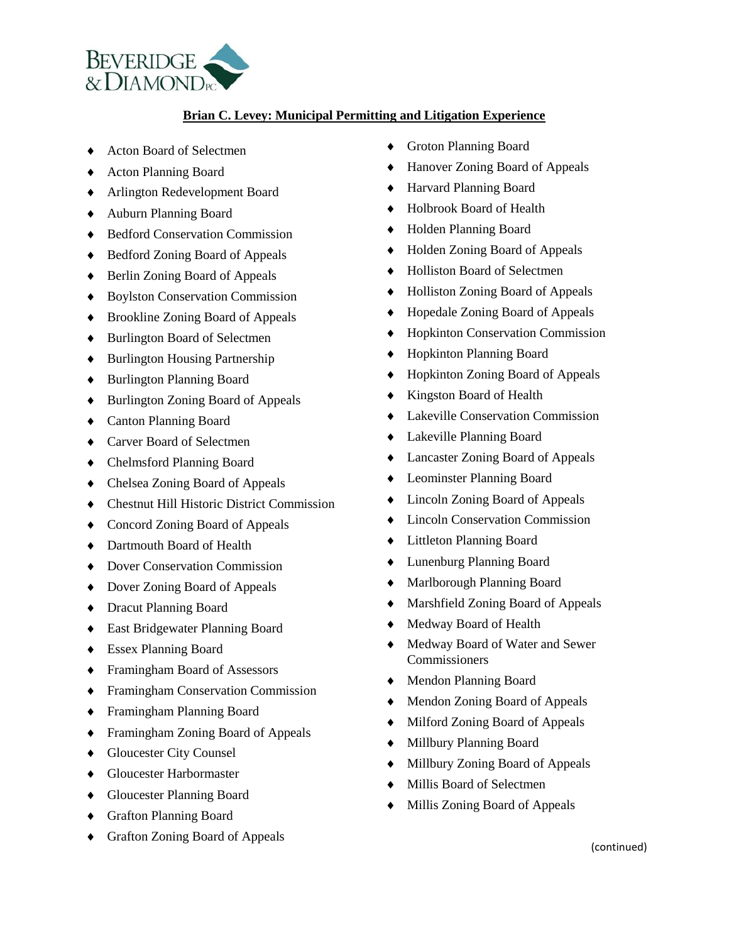

## **Brian C. Levey: Municipal Permitting and Litigation Experience**

- ◆ Acton Board of Selectmen
- Acton Planning Board
- Arlington Redevelopment Board
- Auburn Planning Board
- ◆ Bedford Conservation Commission
- ◆ Bedford Zoning Board of Appeals
- ◆ Berlin Zoning Board of Appeals
- Boylston Conservation Commission
- ◆ Brookline Zoning Board of Appeals
- ◆ Burlington Board of Selectmen
- ◆ Burlington Housing Partnership
- ◆ Burlington Planning Board
- ◆ Burlington Zoning Board of Appeals
- Canton Planning Board
- ◆ Carver Board of Selectmen
- Chelmsford Planning Board
- Chelsea Zoning Board of Appeals
- Chestnut Hill Historic District Commission
- ◆ Concord Zoning Board of Appeals
- ◆ Dartmouth Board of Health
- ◆ Dover Conservation Commission
- Dover Zoning Board of Appeals
- Dracut Planning Board
- East Bridgewater Planning Board
- Essex Planning Board
- Framingham Board of Assessors
- Framingham Conservation Commission
- Framingham Planning Board
- Framingham Zoning Board of Appeals
- ◆ Gloucester City Counsel
- ◆ Gloucester Harbormaster
- Gloucester Planning Board
- Grafton Planning Board
- Grafton Zoning Board of Appeals
- Groton Planning Board
- Hanover Zoning Board of Appeals
- Harvard Planning Board
- ◆ Holbrook Board of Health
- Holden Planning Board
- ◆ Holden Zoning Board of Appeals
- Holliston Board of Selectmen
- ◆ Holliston Zoning Board of Appeals
- Hopedale Zoning Board of Appeals
- Hopkinton Conservation Commission
- Hopkinton Planning Board
- ◆ Hopkinton Zoning Board of Appeals
- Kingston Board of Health
- Lakeville Conservation Commission
- Lakeville Planning Board
- Lancaster Zoning Board of Appeals
- Leominster Planning Board
- Lincoln Zoning Board of Appeals
- $\triangle$  Lincoln Conservation Commission
- Littleton Planning Board
- Lunenburg Planning Board
- Marlborough Planning Board
- Marshfield Zoning Board of Appeals
- Medway Board of Health
- Medway Board of Water and Sewer **Commissioners**
- Mendon Planning Board
- Mendon Zoning Board of Appeals
- $\triangleleft$  Milford Zoning Board of Appeals
- Millbury Planning Board
- Millbury Zoning Board of Appeals
- Millis Board of Selectmen
- Millis Zoning Board of Appeals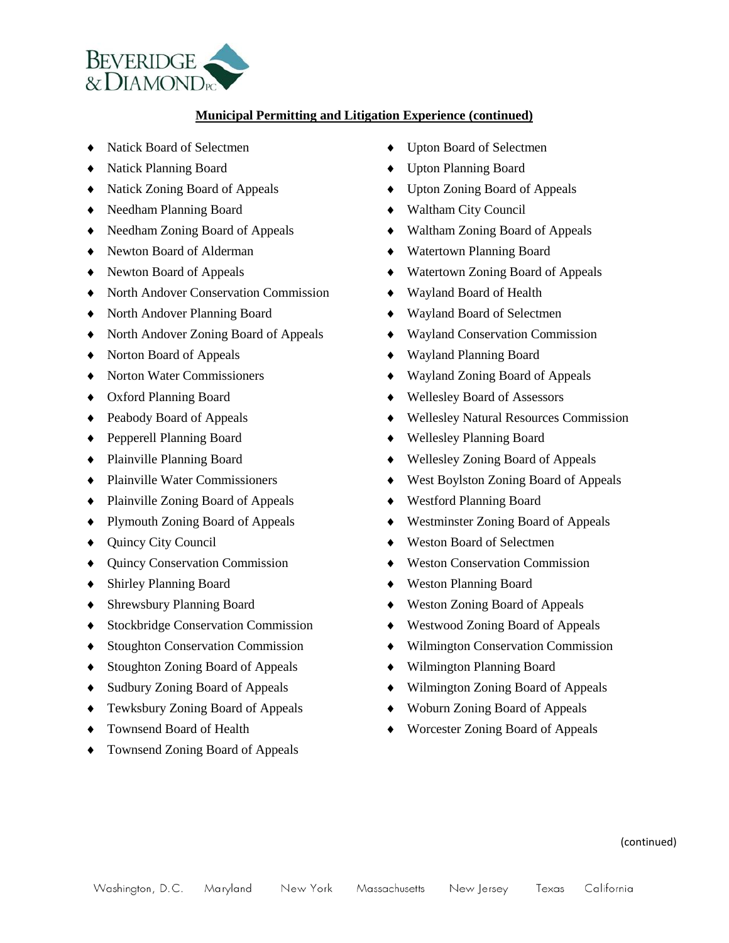

## **Municipal Permitting and Litigation Experience (continued)**

- Natick Board of Selectmen
- Natick Planning Board
- Natick Zoning Board of Appeals
- Needham Planning Board
- Needham Zoning Board of Appeals
- Newton Board of Alderman
- Newton Board of Appeals
- North Andover Conservation Commission
- North Andover Planning Board
- North Andover Zoning Board of Appeals
- Norton Board of Appeals
- ◆ Norton Water Commissioners
- Oxford Planning Board
- ◆ Peabody Board of Appeals
- Pepperell Planning Board
- Plainville Planning Board
- ◆ Plainville Water Commissioners
- ◆ Plainville Zoning Board of Appeals
- Plymouth Zoning Board of Appeals
- ◆ Quincy City Council
- Quincy Conservation Commission
- Shirley Planning Board
- Shrewsbury Planning Board
- ◆ Stockbridge Conservation Commission
- ◆ Stoughton Conservation Commission
- ◆ Stoughton Zoning Board of Appeals
- Sudbury Zoning Board of Appeals
- Tewksbury Zoning Board of Appeals
- ◆ Townsend Board of Health
- ◆ Townsend Zoning Board of Appeals
- Upton Board of Selectmen
- Upton Planning Board
- Upton Zoning Board of Appeals
- Waltham City Council
- Waltham Zoning Board of Appeals
- Watertown Planning Board
- Watertown Zoning Board of Appeals
- Wayland Board of Health
- Wayland Board of Selectmen
- Wayland Conservation Commission
- Wayland Planning Board
- Wayland Zoning Board of Appeals
- Wellesley Board of Assessors
- Wellesley Natural Resources Commission
- Wellesley Planning Board
- Wellesley Zoning Board of Appeals
- West Boylston Zoning Board of Appeals
- Westford Planning Board
- Westminster Zoning Board of Appeals
- Weston Board of Selectmen
- ◆ Weston Conservation Commission
- Weston Planning Board
- ◆ Weston Zoning Board of Appeals
- Westwood Zoning Board of Appeals
- Wilmington Conservation Commission
- Wilmington Planning Board
- Wilmington Zoning Board of Appeals
- Woburn Zoning Board of Appeals
- Worcester Zoning Board of Appeals

(continued)